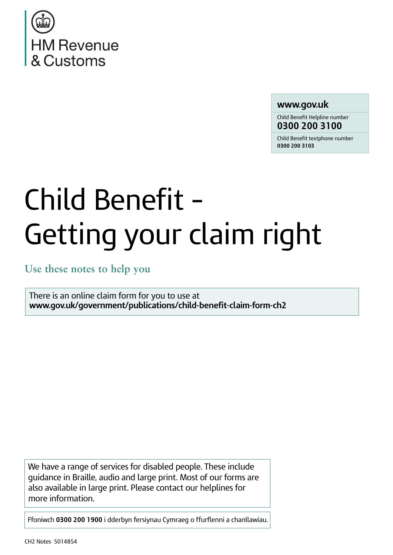

# **www.gov.uk**

Child Benefit Helpline number **0300 200 3100**

Child Benefit textphone number **0300 200 3103**

# Child Benefit – Getting your claim right

**Use these notes to help you**

There is an online claim form for you to use at **[www.gov.uk/government/publications/child-benefit-claim-form-ch2](https://www.gov.uk/government/publications/child-benefit-claim-form-ch2)**

We have a range of services for disabled people. These include guidance in Braille, audio and large print. Most of our forms are also available in large print. Please contact our helplines for more information.

Ffoniwch **0300 200 1900** i dderbyn fersiynau Cymraeg o ffurflenni a chanllawiau.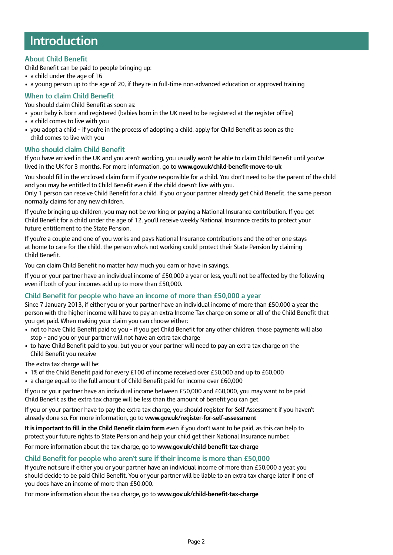# **Introduction**

# **About Child Benefit**

Child Benefit can be paid to people bringing up:

- a child under the age of 16
- a young person up to the age of 20, if they're in full-time non-advanced education or approved training

# **When to claim Child Benefit**

You should claim Child Benefit as soon as:

- your baby is born and registered (babies born in the UK need to be registered at the register office)
- a child comes to live with you
- you adopt a child if you're in the process of adopting a child, apply for Child Benefit as soon as the child comes to live with you

### **Who should claim Child Benefit**

If you have arrived in the UK and you aren't working, you usually won't be able to claim Child Benefit until you've lived in the UK for 3 months. For more information, go to **[www.gov.uk/child-benefit-move-to-uk](https://www.gov.uk/child-benefit-move-to-uk)**

You should fill in the enclosed claim form if you're responsible for a child. You don't need to be the parent of the child and you may be entitled to Child Benefit even if the child doesn't live with you.

Only 1 person can receive Child Benefit for a child. If you or your partner already get Child Benefit, the same person normally claims for any new children.

If you're bringing up children, you may not be working or paying a National Insurance contribution. If you get Child Benefit for a child under the age of 12, you'll receive weekly National Insurance credits to protect your future entitlement to the State Pension.

If you're a couple and one of you works and pays National Insurance contributions and the other one stays at home to care for the child, the person who's not working could protect their State Pension by claiming Child Benefit.

You can claim Child Benefit no matter how much you earn or have in savings.

If you or your partner have an individual income of £50,000 a year or less, you'll not be affected by the following even if both of your incomes add up to more than £50,000.

### **Child Benefit for people who have an income of more than £50,000 a year**

Since 7 January 2013, if either you or your partner have an individual income of more than £50,000 a year the person with the higher income will have to pay an extra Income Tax charge on some or all of the Child Benefit that you get paid. When making your claim you can choose either:

- not to have Child Benefit paid to you if you get Child Benefit for any other children, those payments will also stop – and you or your partner will not have an extra tax charge
- to have Child Benefit paid to you, but you or your partner will need to pay an extra tax charge on the Child Benefit you receive

The extra tax charge will be:

- 1% of the Child Benefit paid for every £100 of income received over £50,000 and up to £60,000
- a charge equal to the full amount of Child Benefit paid for income over £60,000

If you or your partner have an individual income between £50,000 and £60,000, you may want to be paid Child Benefit as the extra tax charge will be less than the amount of benefit you can get.

If you or your partner have to pay the extra tax charge, you should register for Self Assessment if you haven't already done so. For more information, go to **[www.gov.uk/register-for-self-assessment](https://www.gov.uk/register-for-self-assessment)**

**It is important to fill in the Child Benefit claim form** even if you don't want to be paid, as this can help to protect your future rights to State Pension and help your child get their National Insurance number.

For more information about the tax charge, go to **[www.gov.uk/child-benefit-tax-charge](https://www.gov.uk/child-benefit-tax-charge)**

# **Child Benefit for people who aren't sure if their income is more than £50,000**

If you're not sure if either you or your partner have an individual income of more than £50,000 a year, you should decide to be paid Child Benefit. You or your partner will be liable to an extra tax charge later if one of you does have an income of more than £50,000.

For more information about the tax charge, go to **[www.gov.uk/child-benefit-tax-charge](https://www.gov.uk/child-benefit-tax-charge)**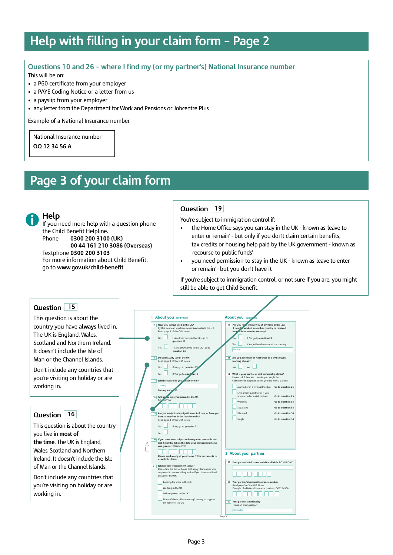# **Help with filling in your claim form – Page 2**

# **Questions 10 and 26 – where I find my (or my partner's) National Insurance number**

This will be on:

- a P60 certificate from your employer
- a PAYE Coding Notice or a letter from us
- a payslip from your employer
- any letter from the Department for Work and Pensions or Jobcentre Plus

Example of a National Insurance number

National Insurance number

**QQ 12 34 56 A**

# **Page 3 of your claim form**

**Help**

If you need more help with a question phone the Child Benefit Helpline. Phone **0300 200 3100 (UK) 00 44 161 210 3086 (Overseas)** Textphone **0300 200 3103**

For more information about Child Benefit, go to **[www.gov.uk/child-benefit](https://www.gov.uk/child-benefit)**

# **Question 19**

You're subject to immigration control if:

- the Home Office says you can stay in the UK known as 'leave to enter or remain' - but only if you don't claim certain benefits, tax credits or housing help paid by the UK government - known as 'recourse to public funds'
- you need permission to stay in the UK known as 'leave to enter or remain' - but you don't have it

If you're subject to immigration control, or not sure if you are, you might still be able to get Child Benefit.

# **Question 15**

This question is about the country you have **always** lived in. The UK is England, Wales, Scotland and Northern Ireland. It doesn't include the Isle of Man or the Channel Islands.

Don't include any countries that you're visiting on holiday or are working in.

# **Question 16**

This question is about the country you live in **most of the time**. The UK is England, Wales, Scotland and Northern Ireland. It doesn't include the Isle of Man or the Channel Islands.

Don't include any countries that you're visiting on holiday or are working in.

|                         | 1 About you continued                                                                                                                                                                 | <b>About you conting</b><br>led                                                                                                                                                     |
|-------------------------|---------------------------------------------------------------------------------------------------------------------------------------------------------------------------------------|-------------------------------------------------------------------------------------------------------------------------------------------------------------------------------------|
|                         | 15 Have you always lived in the UK?<br>By this we mean you have never lived outside the UK.<br>Read page 3 of the CH2 Notes.<br>N <sub>0</sub><br>I have lived outside the UK - go to | Are you no v, or have you at any time in the last<br>22<br>3 months, worked in another country or received<br>beneat from another country?<br><b>No</b><br>If No, go to question 23 |
|                         | question 16<br>Voc<br>I have always lived in the UK - go to<br>question 24                                                                                                            | If Yes, tell us the name of the country<br>Yes<br>Country                                                                                                                           |
|                         | 16 Do you usually live in the UK?<br>Read page 3 of the CH2 Notes.<br>N <sub>0</sub><br>If No, go to question 17                                                                      | Are you a member of HM Forces or a civil servant<br>23<br>working abroad?<br>N <sub>0</sub><br><b>Yes</b>                                                                           |
|                         | Yes<br>If Yes, go to question 18<br>17 Which country do you wally live in?                                                                                                            | What is your marital or civil partnership status?<br>24<br>Please tick 1 box. We consider you single for<br>Child Benefit purposes unless you live with a partner.                  |
|                         | Country<br>Go to question 19                                                                                                                                                          | Married or in a civil partnership<br>Go to question 25<br>Living with a partner as if you                                                                                           |
|                         | 18 Tell us the date you arrived in the UK<br>DD MM YYYY                                                                                                                               | are married or a civil partner<br>Go to question 25<br>Widowed<br>Go to question 34                                                                                                 |
|                         | 19 Are you subject to immigration control now, or have you<br>been at any time in the last 6 months?                                                                                  | Separated<br>Go to question 34<br>Divorced<br>Go to question 34                                                                                                                     |
|                         | Read page 3 of the CH2 Notes.<br>If No, go to question 21<br>N <sub>0</sub><br>Yes                                                                                                    | Single<br>Go to question 34                                                                                                                                                         |
| dfo<br>une <sub>2</sub> | 20 If you have been subject to immigration control in the<br>last 3 months, tell us the date your immigration status<br>was granted DD MM YYYY                                        |                                                                                                                                                                                     |
|                         | Please send a copy of your Home Office documents to<br>us with this form.                                                                                                             | 2 About your partner                                                                                                                                                                |
|                         | 21 What is your employment status?<br>Please tick the box or boxes that apply. Remember you<br>only need to answer this question if you have ever lived<br>outside of the UK.         | Your partner's full name and date of birth DD MM YYYY<br>25                                                                                                                         |
|                         | Looking for work in the UK<br>Working in the UK<br>Self-employed in the UK                                                                                                            | 26 Your partner's National Insurance number<br>Read page 3 of the CH2 Notes.<br>Example of a National Insurance number - QQ123456A.                                                 |
|                         | None of these - I have enough money to support<br>my family in the UK                                                                                                                 | 27<br>Your partner's nationality<br>This is on their passport                                                                                                                       |

Page 3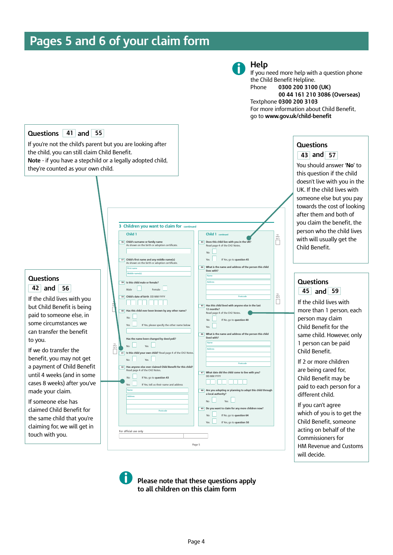# **Pages 5 and 6 of your claim form**



# **Help**

If you need more help with a question phone the Child Benefit Helpline. Phone **0300 200 3100 (UK) 00 44 161 210 3086 (Overseas)** Textphone **0300 200 3103** For more information about Child Benefit, go to **[www.gov.uk/child-benefit](https://www.gov.uk/child-benefit)**



**Please note that these questions apply to all children on this claim form**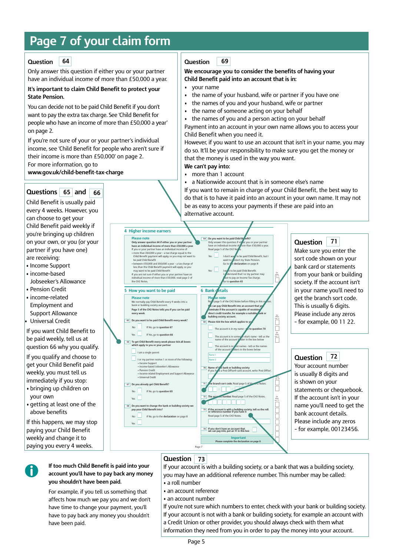# **Page 7 of your claim form**

#### **Question 64**

Only answer this question if either you or your partner have an individual income of more than £50,000 a year.

### **It's important to claim Child Benefit to protect your State Pension.**

You can decide not to be paid Child Benefit if you don't want to pay the extra tax charge. See 'Child Benefit for people who have an income of more than £50,000 a year' on page 2.

If you're not sure of your or your partner's individual income, see 'Child Benefit for people who aren't sure if their income is more than £50,000' on page 2. For more information, go to

**[www.gov.uk/child-benefit-tax-charge](https://www.gov.uk/child-benefit-tax-charge)**

# **Questions and 65 66**

Child Benefit is usually paid every 4 weeks. However, you can choose to get your Child Benefit paid weekly if you're bringing up children on your own, or you (or your partner if you have one) are receiving:

- Income Support
- income-based
- Jobseeker's Allowance • Pension Credit
- income-related Employment and Support Allowance

• Universal Credit If you want Child Benefit to

be paid weekly, tell us at question 66 why you qualify.

If you qualify and choose to get your Child Benefit paid weekly, you must tell us immediately if you stop:

- bringing up children on your own
- getting at least one of the above benefits

If this happens, we may stop paying your Child Benefit weekly and change it to paying you every 4 weeks.

#### **Question 69**

### **We encourage you to consider the benefits of having your Child Benefit paid into an account that is in:**

- your name
- the name of your husband, wife or partner if you have one
- the names of you and your husband, wife or partner
- the name of someone acting on your behalf
- the names of you and a person acting on your behalf

Payment into an account in your own name allows you to access your Child Benefit when you need it.

However, if you want to use an account that isn't in your name, you may do so. It'll be your responsibility to make sure you get the money or that the money is used in the way you want.

**We can't pay into:**

- more than 1 account
- a Nationwide account that is in someone else's name

If you want to remain in charge of your Child Benefit, the best way to do that is to have it paid into an account in your own name. It may not be as easy to access your payments if these are paid into an alternative account.



#### **Question 71**

Make sure you enter the sort code shown on your bank card or statements from your bank or building society. If the account isn't in your name you'll need to get the branch sort code. This is usually 6 digits. Please include any zeros – for example, 00 11 22.

#### **Question 72**

Your account number is usually 8 digits and is shown on your statements or chequebook. If the account isn't in your name you'll need to get the bank account details. Please include any zeros – for example, 00123456.

**If too much Child Benefit is paid into your account you'll have to pay back any money you shouldn't have been paid.**

For example, if you tell us something that affects how much we pay you and we don't have time to change your payment, you'll have to pay back any money you shouldn't have been paid.

# **Question 73**

If your account is with a building society, or a bank that was a building society, you may have an additional reference number. This number may be called: • a roll number

- an account reference
- an account number

If you're not sure which numbers to enter, check with your bank or building society. If your account is not with a bank or building society, for example an account with a Credit Union or other provider, you should always check with them what information they need from you in order to pay the money into your account.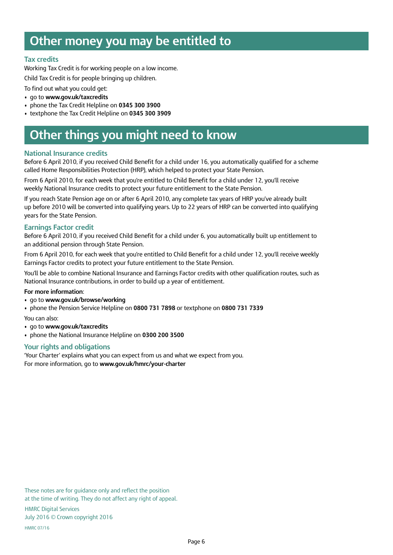# **Other money you may be entitled to**

## **Tax credits**

Working Tax Credit is for working people on a low income.

Child Tax Credit is for people bringing up children.

To find out what you could get:

- go to **[www.gov.uk/taxcredits](https://www.gov.uk/taxcredits)**
- phone the Tax Credit Helpline on **0345 300 3900**
- textphone the Tax Credit Helpline on **0345 300 3909**

# **Other things you might need to know**

### **National Insurance credits**

Before 6 April 2010, if you received Child Benefit for a child under 16, you automatically qualified for a scheme called Home Responsibilities Protection (HRP), which helped to protect your State Pension.

From 6 April 2010, for each week that you're entitled to Child Benefit for a child under 12, you'll receive weekly National Insurance credits to protect your future entitlement to the State Pension.

If you reach State Pension age on or after 6 April 2010, any complete tax years of HRP you've already built up before 2010 will be converted into qualifying years. Up to 22 years of HRP can be converted into qualifying years for the State Pension.

### **Earnings Factor credit**

Before 6 April 2010, if you received Child Benefit for a child under 6, you automatically built up entitlement to an additional pension through State Pension.

From 6 April 2010, for each week that you're entitled to Child Benefit for a child under 12, you'll receive weekly Earnings Factor credits to protect your future entitlement to the State Pension.

You'll be able to combine National Insurance and Earnings Factor credits with other qualification routes, such as National Insurance contributions, in order to build up a year of entitlement.

### **For more information**:

- go to **[www.gov.uk/browse/working](https://www.gov.uk/browse/working)**
- phone the Pension Service Helpline on **0800 731 7898** or textphone on **0800 731 7339**

You can also:

- go to **[www.gov.uk/taxcredits](https://www.gov.uk/taxcredits)**
- phone the National Insurance Helpline on **0300 200 3500**

### **Your rights and obligations**

'Your Charter' explains what you can expect from us and what we expect from you. For more information, go to **[www.gov.uk/hmrc/your-charter](https://www.gov.uk/hmrc/your-charter)**

These notes are for guidance only and reflect the position at the time of writing. They do not affect any right of appeal.

HMRC Digital Services July 2016 © Crown copyright 2016

HMRC 07/16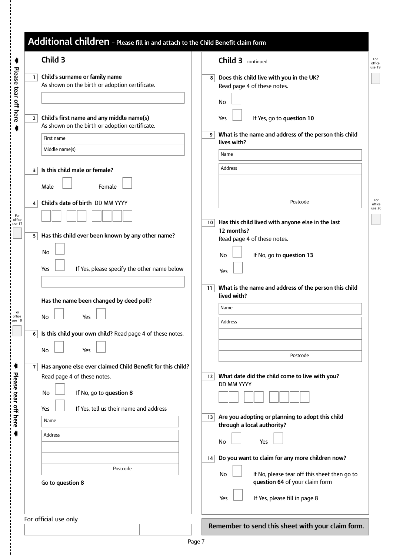|                | Child 3                                                                                     | <b>Child 3</b> continued                                                                             |
|----------------|---------------------------------------------------------------------------------------------|------------------------------------------------------------------------------------------------------|
| $\mathbf{1}$   | Child's surname or family name<br>As shown on the birth or adoption certificate.            | Does this child live with you in the UK?<br>8<br>Read page 4 of these notes.                         |
| $\overline{2}$ | Child's first name and any middle name(s)<br>As shown on the birth or adoption certificate. | No<br>If Yes, go to question 10<br>Yes<br>What is the name and address of the person this child<br>9 |
|                | First name<br>Middle name(s)                                                                | lives with?<br>Name                                                                                  |
| з              | Is this child male or female?<br>Female<br>Male                                             | <b>Address</b>                                                                                       |
| 4              | Child's date of birth DD MM YYYY                                                            | Postcode                                                                                             |
| 5              | Has this child ever been known by any other name?                                           | Has this child lived with anyone else in the last<br>10<br>12 months?<br>Read page 4 of these notes. |
|                | <b>No</b><br>If Yes, please specify the other name below<br>Yes                             | If No, go to question 13<br>No<br>Yes                                                                |
|                | Has the name been changed by deed poll?                                                     | What is the name and address of the person this child<br>11<br>lived with?                           |
|                | No<br>Yes                                                                                   | Name<br><b>Address</b>                                                                               |
| 6              | Is this child your own child? Read page 4 of these notes.<br>Yes<br>No                      | Postcode                                                                                             |
| $\overline{7}$ | Has anyone else ever claimed Child Benefit for this child?<br>Read page 4 of these notes.   | What date did the child come to live with you?<br>12<br>DD MM YYYY                                   |
|                | If No, go to question 8<br>No<br>If Yes, tell us their name and address<br>Yes              |                                                                                                      |
|                | Name<br>Address                                                                             | Are you adopting or planning to adopt this child<br>13<br>through a local authority?                 |
|                |                                                                                             | No<br>Yes<br>Do you want to claim for any more children now?<br>14                                   |
|                | Postcode<br>Go to question 8                                                                | If No, please tear off this sheet then go to<br>No<br>question 64 of your claim form                 |
|                |                                                                                             | If Yes, please fill in page 8<br>Yes                                                                 |